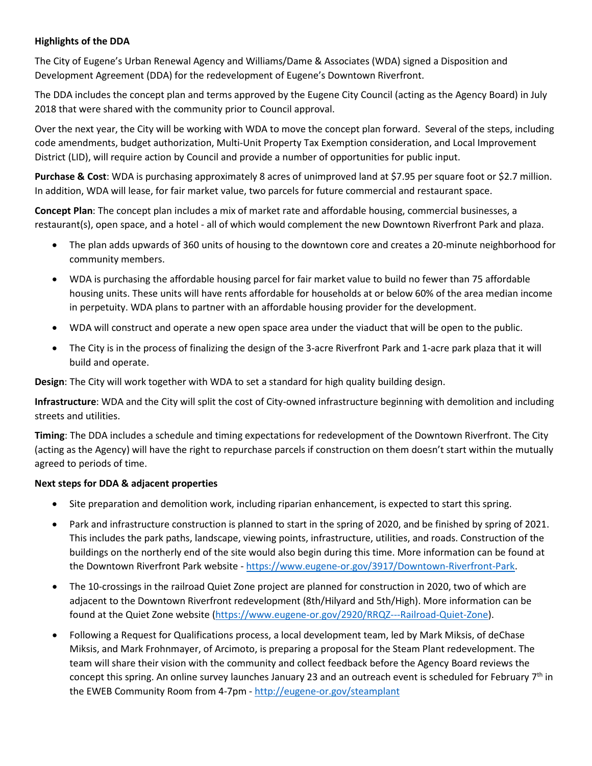## **Highlights of the DDA**

The City of Eugene's Urban Renewal Agency and Williams/Dame & Associates (WDA) signed a Disposition and Development Agreement (DDA) for the redevelopment of Eugene's Downtown Riverfront.

The DDA includes the concept plan and terms approved by the Eugene City Council (acting as the Agency Board) in July 2018 that were shared with the community prior to Council approval.

Over the next year, the City will be working with WDA to move the concept plan forward. Several of the steps, including code amendments, budget authorization, Multi-Unit Property Tax Exemption consideration, and Local Improvement District (LID), will require action by Council and provide a number of opportunities for public input.

**Purchase & Cost**: WDA is purchasing approximately 8 acres of unimproved land at \$7.95 per square foot or \$2.7 million. In addition, WDA will lease, for fair market value, two parcels for future commercial and restaurant space.

**Concept Plan**: The concept plan includes a mix of market rate and affordable housing, commercial businesses, a restaurant(s), open space, and a hotel - all of which would complement the new Downtown Riverfront Park and plaza.

- The plan adds upwards of 360 units of housing to the downtown core and creates a 20-minute neighborhood for community members.
- WDA is purchasing the affordable housing parcel for fair market value to build no fewer than 75 affordable housing units. These units will have rents affordable for households at or below 60% of the area median income in perpetuity. WDA plans to partner with an affordable housing provider for the development.
- WDA will construct and operate a new open space area under the viaduct that will be open to the public.
- The City is in the process of finalizing the design of the 3-acre Riverfront Park and 1-acre park plaza that it will build and operate.

**Design**: The City will work together with WDA to set a standard for high quality building design.

**Infrastructure**: WDA and the City will split the cost of City-owned infrastructure beginning with demolition and including streets and utilities.

**Timing**: The DDA includes a schedule and timing expectations for redevelopment of the Downtown Riverfront. The City (acting as the Agency) will have the right to repurchase parcels if construction on them doesn't start within the mutually agreed to periods of time.

## **Next steps for DDA & adjacent properties**

- Site preparation and demolition work, including riparian enhancement, is expected to start this spring.
- Park and infrastructure construction is planned to start in the spring of 2020, and be finished by spring of 2021. This includes the park paths, landscape, viewing points, infrastructure, utilities, and roads. Construction of the buildings on the northerly end of the site would also begin during this time. More information can be found at the Downtown Riverfront Park website - [https://www.eugene-or.gov/3917/Downtown-Riverfront-Park.](https://www.eugene-or.gov/3917/Downtown-Riverfront-Park)
- The 10-crossings in the railroad Quiet Zone project are planned for construction in 2020, two of which are adjacent to the Downtown Riverfront redevelopment (8th/Hilyard and 5th/High). More information can be found at the Quiet Zone website [\(https://www.eugene-or.gov/2920/RRQZ---Railroad-Quiet-Zone\)](https://www.eugene-or.gov/2920/RRQZ---Railroad-Quiet-Zone).
- Following a Request for Qualifications process, a local development team, led by Mark Miksis, of deChase Miksis, and Mark Frohnmayer, of Arcimoto, is preparing a proposal for the Steam Plant redevelopment. The team will share their vision with the community and collect feedback before the Agency Board reviews the concept this spring. An online survey launches January 23 and an outreach event is scheduled for February 7<sup>th</sup> in the EWEB Community Room from 4-7pm - <http://eugene-or.gov/steamplant>